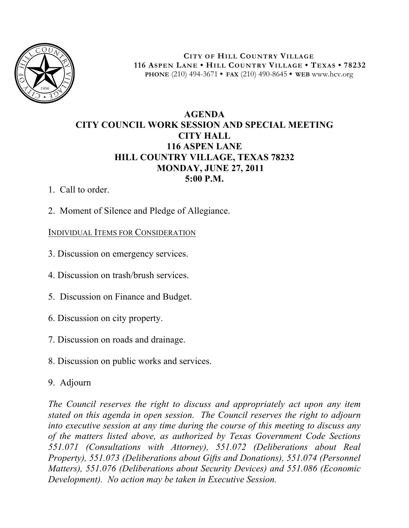

**CITY OF HILL COUNTRY VILLAGE 116 ASPEN LANE • HILL COUNTRY VILLAGE • TEXAS • 78232 PHONE** (210) 494-3671 **• FAX** (210) 490-8645 **• WEB** www.hcv.org

## **AGENDA CITY COUNCIL WORK SESSION AND SPECIAL MEETING CITY HALL 116 ASPEN LANE HILL COUNTRY VILLAGE, TEXAS 78232 MONDAY, JUNE 27, 2011 5:00 P.M.**

- 1. Call to order.
- 2. Moment of Silence and Pledge of Allegiance.

## INDIVIDUAL ITEMS FOR CONSIDERATION

- 3. Discussion on emergency services.
- 4. Discussion on trash/brush services.
- 5. Discussion on Finance and Budget.
- 6. Discussion on city property.
- 7. Discussion on roads and drainage.
- 8. Discussion on public works and services.
- 9. Adjourn

*The Council reserves the right to discuss and appropriately act upon any item stated on this agenda in open session. The Council reserves the right to adjourn into executive session at any time during the course of this meeting to discuss any of the matters listed above, as authorized by Texas Government Code Sections 551.071 (Consultations with Attorney), 551.072 (Deliberations about Real Property), 551.073 (Deliberations about Gifts and Donations), 551.074 (Personnel Matters), 551.076 (Deliberations about Security Devices) and 551.086 (Economic Development). No action may be taken in Executive Session.*